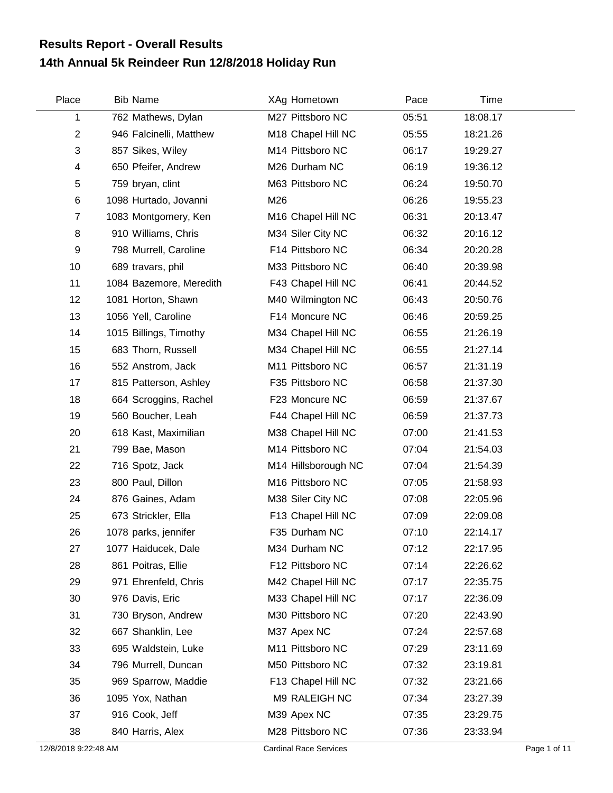## **14th Annual 5k Reindeer Run 12/8/2018 Holiday Run Results Report - Overall Results**

| Place          | <b>Bib Name</b>         | XAg Hometown                   | Pace  | Time     |  |
|----------------|-------------------------|--------------------------------|-------|----------|--|
| 1              | 762 Mathews, Dylan      | M27 Pittsboro NC               | 05:51 | 18:08.17 |  |
| $\overline{2}$ | 946 Falcinelli, Matthew | M18 Chapel Hill NC             | 05:55 | 18:21.26 |  |
| 3              | 857 Sikes, Wiley        | M14 Pittsboro NC               | 06:17 | 19:29.27 |  |
| 4              | 650 Pfeifer, Andrew     | M26 Durham NC                  | 06:19 | 19:36.12 |  |
| 5              | 759 bryan, clint        | M63 Pittsboro NC               | 06:24 | 19:50.70 |  |
| 6              | 1098 Hurtado, Jovanni   | M26                            | 06:26 | 19:55.23 |  |
| $\overline{7}$ | 1083 Montgomery, Ken    | M <sub>16</sub> Chapel Hill NC | 06:31 | 20:13.47 |  |
| 8              | 910 Williams, Chris     | M34 Siler City NC              | 06:32 | 20:16.12 |  |
| 9              | 798 Murrell, Caroline   | F14 Pittsboro NC               | 06:34 | 20:20.28 |  |
| 10             | 689 travars, phil       | M33 Pittsboro NC               | 06:40 | 20:39.98 |  |
| 11             | 1084 Bazemore, Meredith | F43 Chapel Hill NC             | 06:41 | 20:44.52 |  |
| 12             | 1081 Horton, Shawn      | M40 Wilmington NC              | 06:43 | 20:50.76 |  |
| 13             | 1056 Yell, Caroline     | F14 Moncure NC                 | 06:46 | 20:59.25 |  |
| 14             | 1015 Billings, Timothy  | M34 Chapel Hill NC             | 06:55 | 21:26.19 |  |
| 15             | 683 Thorn, Russell      | M34 Chapel Hill NC             | 06:55 | 21:27.14 |  |
| 16             | 552 Anstrom, Jack       | M11 Pittsboro NC               | 06:57 | 21:31.19 |  |
| 17             | 815 Patterson, Ashley   | F35 Pittsboro NC               | 06:58 | 21:37.30 |  |
| 18             | 664 Scroggins, Rachel   | F23 Moncure NC                 | 06:59 | 21:37.67 |  |
| 19             | 560 Boucher, Leah       | F44 Chapel Hill NC             | 06:59 | 21:37.73 |  |
| 20             | 618 Kast, Maximilian    | M38 Chapel Hill NC             | 07:00 | 21:41.53 |  |
| 21             | 799 Bae, Mason          | M14 Pittsboro NC               | 07:04 | 21:54.03 |  |
| 22             | 716 Spotz, Jack         | M14 Hillsborough NC            | 07:04 | 21:54.39 |  |
| 23             | 800 Paul, Dillon        | M16 Pittsboro NC               | 07:05 | 21:58.93 |  |
| 24             | 876 Gaines, Adam        | M38 Siler City NC              | 07:08 | 22:05.96 |  |
| 25             | 673 Strickler, Ella     | F13 Chapel Hill NC             | 07:09 | 22:09.08 |  |
| 26             | 1078 parks, jennifer    | F35 Durham NC                  | 07:10 | 22:14.17 |  |
| 27             | 1077 Haiducek, Dale     | M34 Durham NC                  | 07:12 | 22:17.95 |  |
| 28             | 861 Poitras, Ellie      | F12 Pittsboro NC               | 07:14 | 22:26.62 |  |
| 29             | 971 Ehrenfeld, Chris    | M42 Chapel Hill NC             | 07:17 | 22:35.75 |  |
| 30             | 976 Davis, Eric         | M33 Chapel Hill NC             | 07:17 | 22:36.09 |  |
| 31             | 730 Bryson, Andrew      | M30 Pittsboro NC               | 07:20 | 22:43.90 |  |
| 32             | 667 Shanklin, Lee       | M37 Apex NC                    | 07:24 | 22:57.68 |  |
| 33             | 695 Waldstein, Luke     | M11 Pittsboro NC               | 07:29 | 23:11.69 |  |
| 34             | 796 Murrell, Duncan     | M50 Pittsboro NC               | 07:32 | 23:19.81 |  |
| 35             | 969 Sparrow, Maddie     | F13 Chapel Hill NC             | 07:32 | 23:21.66 |  |
| 36             | 1095 Yox, Nathan        | M9 RALEIGH NC                  | 07:34 | 23:27.39 |  |
| 37             | 916 Cook, Jeff          | M39 Apex NC                    | 07:35 | 23:29.75 |  |
| 38             | 840 Harris, Alex        | M28 Pittsboro NC               | 07:36 | 23:33.94 |  |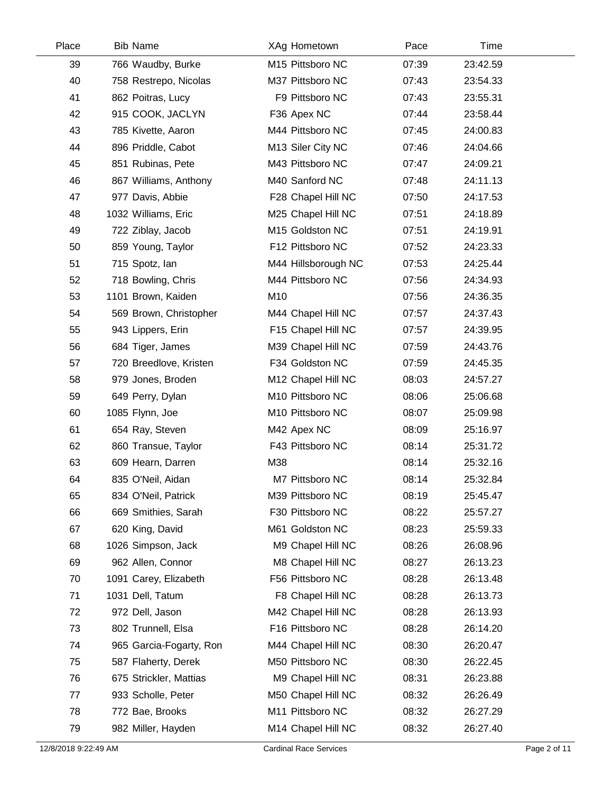| Place | <b>Bib Name</b>         | XAg Hometown        | Pace  | Time     |  |
|-------|-------------------------|---------------------|-------|----------|--|
| 39    | 766 Waudby, Burke       | M15 Pittsboro NC    | 07:39 | 23:42.59 |  |
| 40    | 758 Restrepo, Nicolas   | M37 Pittsboro NC    | 07:43 | 23:54.33 |  |
| 41    | 862 Poitras, Lucy       | F9 Pittsboro NC     | 07:43 | 23:55.31 |  |
| 42    | 915 COOK, JACLYN        | F36 Apex NC         | 07:44 | 23:58.44 |  |
| 43    | 785 Kivette, Aaron      | M44 Pittsboro NC    | 07:45 | 24:00.83 |  |
| 44    | 896 Priddle, Cabot      | M13 Siler City NC   | 07:46 | 24:04.66 |  |
| 45    | 851 Rubinas, Pete       | M43 Pittsboro NC    | 07:47 | 24:09.21 |  |
| 46    | 867 Williams, Anthony   | M40 Sanford NC      | 07:48 | 24:11.13 |  |
| 47    | 977 Davis, Abbie        | F28 Chapel Hill NC  | 07:50 | 24:17.53 |  |
| 48    | 1032 Williams, Eric     | M25 Chapel Hill NC  | 07:51 | 24:18.89 |  |
| 49    | 722 Ziblay, Jacob       | M15 Goldston NC     | 07:51 | 24:19.91 |  |
| 50    | 859 Young, Taylor       | F12 Pittsboro NC    | 07:52 | 24:23.33 |  |
| 51    | 715 Spotz, Ian          | M44 Hillsborough NC | 07:53 | 24:25.44 |  |
| 52    | 718 Bowling, Chris      | M44 Pittsboro NC    | 07:56 | 24:34.93 |  |
| 53    | 1101 Brown, Kaiden      | M10                 | 07:56 | 24:36.35 |  |
| 54    | 569 Brown, Christopher  | M44 Chapel Hill NC  | 07:57 | 24:37.43 |  |
| 55    | 943 Lippers, Erin       | F15 Chapel Hill NC  | 07:57 | 24:39.95 |  |
| 56    | 684 Tiger, James        | M39 Chapel Hill NC  | 07:59 | 24:43.76 |  |
| 57    | 720 Breedlove, Kristen  | F34 Goldston NC     | 07:59 | 24:45.35 |  |
| 58    | 979 Jones, Broden       | M12 Chapel Hill NC  | 08:03 | 24:57.27 |  |
| 59    | 649 Perry, Dylan        | M10 Pittsboro NC    | 08:06 | 25:06.68 |  |
| 60    | 1085 Flynn, Joe         | M10 Pittsboro NC    | 08:07 | 25:09.98 |  |
| 61    | 654 Ray, Steven         | M42 Apex NC         | 08:09 | 25:16.97 |  |
| 62    | 860 Transue, Taylor     | F43 Pittsboro NC    | 08:14 | 25:31.72 |  |
| 63    | 609 Hearn, Darren       | M38                 | 08:14 | 25:32.16 |  |
| 64    | 835 O'Neil, Aidan       | M7 Pittsboro NC     | 08:14 | 25:32.84 |  |
| 65    | 834 O'Neil, Patrick     | M39 Pittsboro NC    | 08:19 | 25:45.47 |  |
| 66    | 669 Smithies, Sarah     | F30 Pittsboro NC    | 08:22 | 25:57.27 |  |
| 67    | 620 King, David         | M61 Goldston NC     | 08:23 | 25:59.33 |  |
| 68    | 1026 Simpson, Jack      | M9 Chapel Hill NC   | 08:26 | 26:08.96 |  |
| 69    | 962 Allen, Connor       | M8 Chapel Hill NC   | 08:27 | 26:13.23 |  |
| 70    | 1091 Carey, Elizabeth   | F56 Pittsboro NC    | 08:28 | 26:13.48 |  |
| 71    | 1031 Dell, Tatum        | F8 Chapel Hill NC   | 08:28 | 26:13.73 |  |
| 72    | 972 Dell, Jason         | M42 Chapel Hill NC  | 08:28 | 26:13.93 |  |
| 73    | 802 Trunnell, Elsa      | F16 Pittsboro NC    | 08:28 | 26:14.20 |  |
| 74    | 965 Garcia-Fogarty, Ron | M44 Chapel Hill NC  | 08:30 | 26:20.47 |  |
| 75    | 587 Flaherty, Derek     | M50 Pittsboro NC    | 08:30 | 26:22.45 |  |
| 76    | 675 Strickler, Mattias  | M9 Chapel Hill NC   | 08:31 | 26:23.88 |  |
| 77    | 933 Scholle, Peter      | M50 Chapel Hill NC  | 08:32 | 26:26.49 |  |
| 78    | 772 Bae, Brooks         | M11 Pittsboro NC    | 08:32 | 26:27.29 |  |
| 79    | 982 Miller, Hayden      | M14 Chapel Hill NC  | 08:32 | 26:27.40 |  |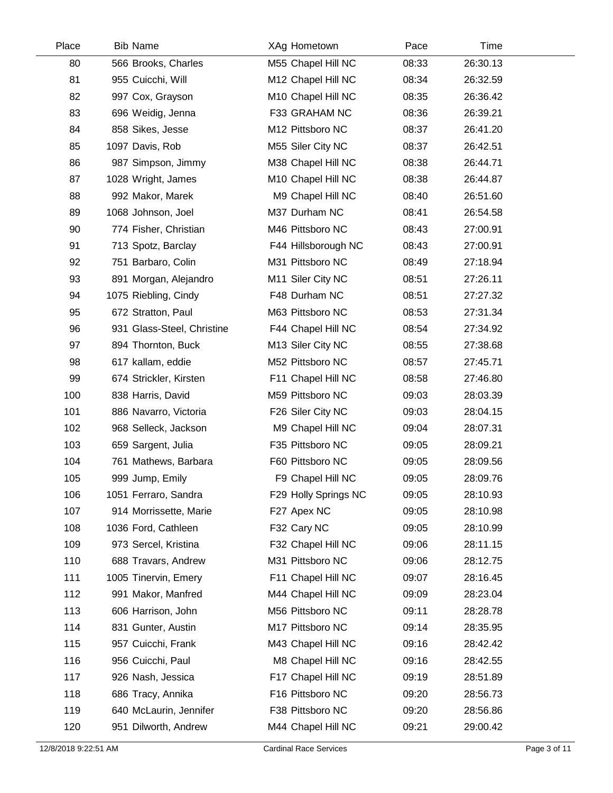| Place | <b>Bib Name</b>            | XAg Hometown         | Pace  | Time     |  |
|-------|----------------------------|----------------------|-------|----------|--|
| 80    | 566 Brooks, Charles        | M55 Chapel Hill NC   | 08:33 | 26:30.13 |  |
| 81    | 955 Cuicchi, Will          | M12 Chapel Hill NC   | 08:34 | 26:32.59 |  |
| 82    | 997 Cox, Grayson           | M10 Chapel Hill NC   | 08:35 | 26:36.42 |  |
| 83    | 696 Weidig, Jenna          | F33 GRAHAM NC        | 08:36 | 26:39.21 |  |
| 84    | 858 Sikes, Jesse           | M12 Pittsboro NC     | 08:37 | 26:41.20 |  |
| 85    | 1097 Davis, Rob            | M55 Siler City NC    | 08:37 | 26:42.51 |  |
| 86    | 987 Simpson, Jimmy         | M38 Chapel Hill NC   | 08:38 | 26:44.71 |  |
| 87    | 1028 Wright, James         | M10 Chapel Hill NC   | 08:38 | 26:44.87 |  |
| 88    | 992 Makor, Marek           | M9 Chapel Hill NC    | 08:40 | 26:51.60 |  |
| 89    | 1068 Johnson, Joel         | M37 Durham NC        | 08:41 | 26:54.58 |  |
| 90    | 774 Fisher, Christian      | M46 Pittsboro NC     | 08:43 | 27:00.91 |  |
| 91    | 713 Spotz, Barclay         | F44 Hillsborough NC  | 08:43 | 27:00.91 |  |
| 92    | 751 Barbaro, Colin         | M31 Pittsboro NC     | 08:49 | 27:18.94 |  |
| 93    | 891 Morgan, Alejandro      | M11 Siler City NC    | 08:51 | 27:26.11 |  |
| 94    | 1075 Riebling, Cindy       | F48 Durham NC        | 08:51 | 27:27.32 |  |
| 95    | 672 Stratton, Paul         | M63 Pittsboro NC     | 08:53 | 27:31.34 |  |
| 96    | 931 Glass-Steel, Christine | F44 Chapel Hill NC   | 08:54 | 27:34.92 |  |
| 97    | 894 Thornton, Buck         | M13 Siler City NC    | 08:55 | 27:38.68 |  |
| 98    | 617 kallam, eddie          | M52 Pittsboro NC     | 08:57 | 27:45.71 |  |
| 99    | 674 Strickler, Kirsten     | F11 Chapel Hill NC   | 08:58 | 27:46.80 |  |
| 100   | 838 Harris, David          | M59 Pittsboro NC     | 09:03 | 28:03.39 |  |
| 101   | 886 Navarro, Victoria      | F26 Siler City NC    | 09:03 | 28:04.15 |  |
| 102   | 968 Selleck, Jackson       | M9 Chapel Hill NC    | 09:04 | 28:07.31 |  |
| 103   | 659 Sargent, Julia         | F35 Pittsboro NC     | 09:05 | 28:09.21 |  |
| 104   | 761 Mathews, Barbara       | F60 Pittsboro NC     | 09:05 | 28:09.56 |  |
| 105   | 999 Jump, Emily            | F9 Chapel Hill NC    | 09:05 | 28:09.76 |  |
| 106   | 1051 Ferraro, Sandra       | F29 Holly Springs NC | 09:05 | 28:10.93 |  |
| 107   | 914 Morrissette, Marie     | F27 Apex NC          | 09:05 | 28:10.98 |  |
| 108   | 1036 Ford, Cathleen        | F32 Cary NC          | 09:05 | 28:10.99 |  |
| 109   | 973 Sercel, Kristina       | F32 Chapel Hill NC   | 09:06 | 28:11.15 |  |
| 110   | 688 Travars, Andrew        | M31 Pittsboro NC     | 09:06 | 28:12.75 |  |
| 111   | 1005 Tinervin, Emery       | F11 Chapel Hill NC   | 09:07 | 28:16.45 |  |
| 112   | 991 Makor, Manfred         | M44 Chapel Hill NC   | 09:09 | 28:23.04 |  |
| 113   | 606 Harrison, John         | M56 Pittsboro NC     | 09:11 | 28:28.78 |  |
| 114   | 831 Gunter, Austin         | M17 Pittsboro NC     | 09:14 | 28:35.95 |  |
| 115   | 957 Cuicchi, Frank         | M43 Chapel Hill NC   | 09:16 | 28:42.42 |  |
| 116   | 956 Cuicchi, Paul          | M8 Chapel Hill NC    | 09:16 | 28:42.55 |  |
| 117   | 926 Nash, Jessica          | F17 Chapel Hill NC   | 09:19 | 28:51.89 |  |
| 118   | 686 Tracy, Annika          | F16 Pittsboro NC     | 09:20 | 28:56.73 |  |
| 119   | 640 McLaurin, Jennifer     | F38 Pittsboro NC     | 09:20 | 28:56.86 |  |
| 120   | 951 Dilworth, Andrew       | M44 Chapel Hill NC   | 09:21 | 29:00.42 |  |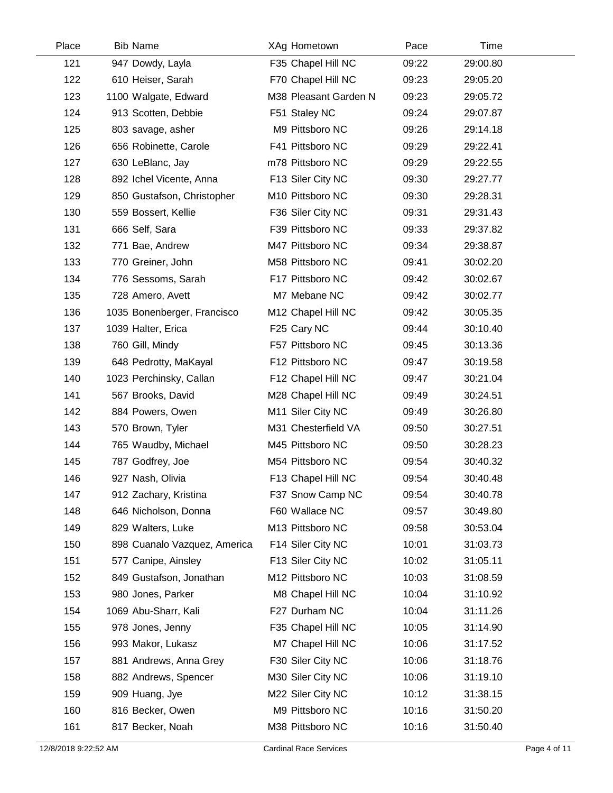| Place | <b>Bib Name</b>              | XAg Hometown          | Pace  | Time     |  |
|-------|------------------------------|-----------------------|-------|----------|--|
| 121   | 947 Dowdy, Layla             | F35 Chapel Hill NC    | 09:22 | 29:00.80 |  |
| 122   | 610 Heiser, Sarah            | F70 Chapel Hill NC    | 09:23 | 29:05.20 |  |
| 123   | 1100 Walgate, Edward         | M38 Pleasant Garden N | 09:23 | 29:05.72 |  |
| 124   | 913 Scotten, Debbie          | F51 Staley NC         | 09:24 | 29:07.87 |  |
| 125   | 803 savage, asher            | M9 Pittsboro NC       | 09:26 | 29:14.18 |  |
| 126   | 656 Robinette, Carole        | F41 Pittsboro NC      | 09:29 | 29:22.41 |  |
| 127   | 630 LeBlanc, Jay             | m78 Pittsboro NC      | 09:29 | 29:22.55 |  |
| 128   | 892 Ichel Vicente, Anna      | F13 Siler City NC     | 09:30 | 29:27.77 |  |
| 129   | 850 Gustafson, Christopher   | M10 Pittsboro NC      | 09:30 | 29:28.31 |  |
| 130   | 559 Bossert, Kellie          | F36 Siler City NC     | 09:31 | 29:31.43 |  |
| 131   | 666 Self, Sara               | F39 Pittsboro NC      | 09:33 | 29:37.82 |  |
| 132   | 771 Bae, Andrew              | M47 Pittsboro NC      | 09:34 | 29:38.87 |  |
| 133   | 770 Greiner, John            | M58 Pittsboro NC      | 09:41 | 30:02.20 |  |
| 134   | 776 Sessoms, Sarah           | F17 Pittsboro NC      | 09:42 | 30:02.67 |  |
| 135   | 728 Amero, Avett             | M7 Mebane NC          | 09:42 | 30:02.77 |  |
| 136   | 1035 Bonenberger, Francisco  | M12 Chapel Hill NC    | 09:42 | 30:05.35 |  |
| 137   | 1039 Halter, Erica           | F25 Cary NC           | 09:44 | 30:10.40 |  |
| 138   | 760 Gill, Mindy              | F57 Pittsboro NC      | 09:45 | 30:13.36 |  |
| 139   | 648 Pedrotty, MaKayal        | F12 Pittsboro NC      | 09:47 | 30:19.58 |  |
| 140   | 1023 Perchinsky, Callan      | F12 Chapel Hill NC    | 09:47 | 30:21.04 |  |
| 141   | 567 Brooks, David            | M28 Chapel Hill NC    | 09:49 | 30:24.51 |  |
| 142   | 884 Powers, Owen             | M11 Siler City NC     | 09:49 | 30:26.80 |  |
| 143   | 570 Brown, Tyler             | M31 Chesterfield VA   | 09:50 | 30:27.51 |  |
| 144   | 765 Waudby, Michael          | M45 Pittsboro NC      | 09:50 | 30:28.23 |  |
| 145   | 787 Godfrey, Joe             | M54 Pittsboro NC      | 09:54 | 30:40.32 |  |
| 146   | 927 Nash, Olivia             | F13 Chapel Hill NC    | 09:54 | 30:40.48 |  |
| 147   | 912 Zachary, Kristina        | F37 Snow Camp NC      | 09:54 | 30:40.78 |  |
| 148   | 646 Nicholson, Donna         | F60 Wallace NC        | 09:57 | 30:49.80 |  |
| 149   | 829 Walters, Luke            | M13 Pittsboro NC      | 09:58 | 30:53.04 |  |
| 150   | 898 Cuanalo Vazquez, America | F14 Siler City NC     | 10:01 | 31:03.73 |  |
| 151   | 577 Canipe, Ainsley          | F13 Siler City NC     | 10:02 | 31:05.11 |  |
| 152   | 849 Gustafson, Jonathan      | M12 Pittsboro NC      | 10:03 | 31:08.59 |  |
| 153   | 980 Jones, Parker            | M8 Chapel Hill NC     | 10:04 | 31:10.92 |  |
| 154   | 1069 Abu-Sharr, Kali         | F27 Durham NC         | 10:04 | 31:11.26 |  |
| 155   | 978 Jones, Jenny             | F35 Chapel Hill NC    | 10:05 | 31:14.90 |  |
| 156   | 993 Makor, Lukasz            | M7 Chapel Hill NC     | 10:06 | 31:17.52 |  |
| 157   | 881 Andrews, Anna Grey       | F30 Siler City NC     | 10:06 | 31:18.76 |  |
| 158   | 882 Andrews, Spencer         | M30 Siler City NC     | 10:06 | 31:19.10 |  |
| 159   | 909 Huang, Jye               | M22 Siler City NC     | 10:12 | 31:38.15 |  |
| 160   | 816 Becker, Owen             | M9 Pittsboro NC       | 10:16 | 31:50.20 |  |
| 161   | 817 Becker, Noah             | M38 Pittsboro NC      | 10:16 | 31:50.40 |  |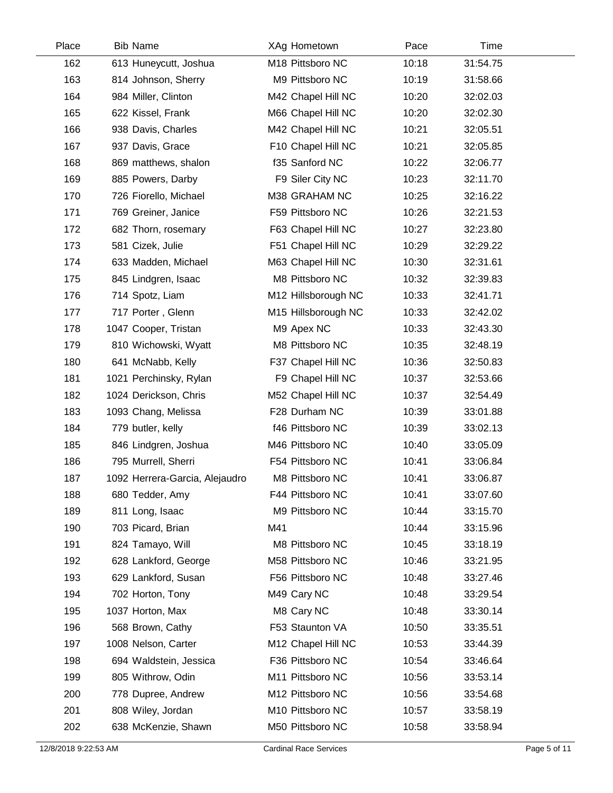| Place | <b>Bib Name</b>                | XAg Hometown        | Pace  | Time     |  |
|-------|--------------------------------|---------------------|-------|----------|--|
| 162   | 613 Huneycutt, Joshua          | M18 Pittsboro NC    | 10:18 | 31:54.75 |  |
| 163   | 814 Johnson, Sherry            | M9 Pittsboro NC     | 10:19 | 31:58.66 |  |
| 164   | 984 Miller, Clinton            | M42 Chapel Hill NC  | 10:20 | 32:02.03 |  |
| 165   | 622 Kissel, Frank              | M66 Chapel Hill NC  | 10:20 | 32:02.30 |  |
| 166   | 938 Davis, Charles             | M42 Chapel Hill NC  | 10:21 | 32:05.51 |  |
| 167   | 937 Davis, Grace               | F10 Chapel Hill NC  | 10:21 | 32:05.85 |  |
| 168   | 869 matthews, shalon           | f35 Sanford NC      | 10:22 | 32:06.77 |  |
| 169   | 885 Powers, Darby              | F9 Siler City NC    | 10:23 | 32:11.70 |  |
| 170   | 726 Fiorello, Michael          | M38 GRAHAM NC       | 10:25 | 32:16.22 |  |
| 171   | 769 Greiner, Janice            | F59 Pittsboro NC    | 10:26 | 32:21.53 |  |
| 172   | 682 Thorn, rosemary            | F63 Chapel Hill NC  | 10:27 | 32:23.80 |  |
| 173   | 581 Cizek, Julie               | F51 Chapel Hill NC  | 10:29 | 32:29.22 |  |
| 174   | 633 Madden, Michael            | M63 Chapel Hill NC  | 10:30 | 32:31.61 |  |
| 175   | 845 Lindgren, Isaac            | M8 Pittsboro NC     | 10:32 | 32:39.83 |  |
| 176   | 714 Spotz, Liam                | M12 Hillsborough NC | 10:33 | 32:41.71 |  |
| 177   | 717 Porter, Glenn              | M15 Hillsborough NC | 10:33 | 32:42.02 |  |
| 178   | 1047 Cooper, Tristan           | M9 Apex NC          | 10:33 | 32:43.30 |  |
| 179   | 810 Wichowski, Wyatt           | M8 Pittsboro NC     | 10:35 | 32:48.19 |  |
| 180   | 641 McNabb, Kelly              | F37 Chapel Hill NC  | 10:36 | 32:50.83 |  |
| 181   | 1021 Perchinsky, Rylan         | F9 Chapel Hill NC   | 10:37 | 32:53.66 |  |
| 182   | 1024 Derickson, Chris          | M52 Chapel Hill NC  | 10:37 | 32:54.49 |  |
| 183   | 1093 Chang, Melissa            | F28 Durham NC       | 10:39 | 33:01.88 |  |
| 184   | 779 butler, kelly              | f46 Pittsboro NC    | 10:39 | 33:02.13 |  |
| 185   | 846 Lindgren, Joshua           | M46 Pittsboro NC    | 10:40 | 33:05.09 |  |
| 186   | 795 Murrell, Sherri            | F54 Pittsboro NC    | 10:41 | 33:06.84 |  |
| 187   | 1092 Herrera-Garcia, Alejaudro | M8 Pittsboro NC     | 10:41 | 33:06.87 |  |
| 188   | 680 Tedder, Amy                | F44 Pittsboro NC    | 10:41 | 33:07.60 |  |
| 189   | 811 Long, Isaac                | M9 Pittsboro NC     | 10:44 | 33:15.70 |  |
| 190   | 703 Picard, Brian              | M41                 | 10:44 | 33:15.96 |  |
| 191   | 824 Tamayo, Will               | M8 Pittsboro NC     | 10:45 | 33:18.19 |  |
| 192   | 628 Lankford, George           | M58 Pittsboro NC    | 10:46 | 33:21.95 |  |
| 193   | 629 Lankford, Susan            | F56 Pittsboro NC    | 10:48 | 33:27.46 |  |
| 194   | 702 Horton, Tony               | M49 Cary NC         | 10:48 | 33:29.54 |  |
| 195   | 1037 Horton, Max               | M8 Cary NC          | 10:48 | 33:30.14 |  |
| 196   | 568 Brown, Cathy               | F53 Staunton VA     | 10:50 | 33:35.51 |  |
| 197   | 1008 Nelson, Carter            | M12 Chapel Hill NC  | 10:53 | 33:44.39 |  |
| 198   | 694 Waldstein, Jessica         | F36 Pittsboro NC    | 10:54 | 33:46.64 |  |
| 199   | 805 Withrow, Odin              | M11 Pittsboro NC    | 10:56 | 33:53.14 |  |
| 200   | 778 Dupree, Andrew             | M12 Pittsboro NC    | 10:56 | 33:54.68 |  |
| 201   | 808 Wiley, Jordan              | M10 Pittsboro NC    | 10:57 | 33:58.19 |  |
| 202   | 638 McKenzie, Shawn            | M50 Pittsboro NC    | 10:58 | 33:58.94 |  |
|       |                                |                     |       |          |  |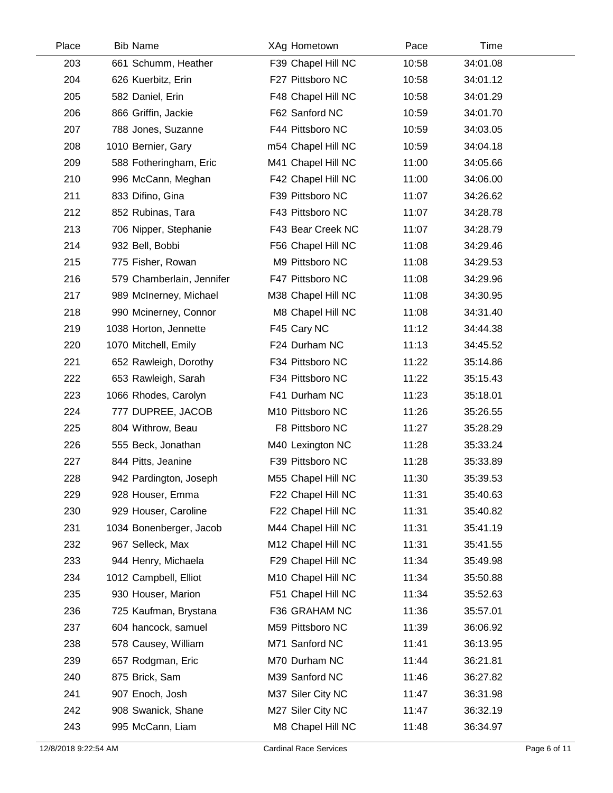| Place | <b>Bib Name</b>           | XAg Hometown       | Pace  | Time     |  |
|-------|---------------------------|--------------------|-------|----------|--|
| 203   | 661 Schumm, Heather       | F39 Chapel Hill NC | 10:58 | 34:01.08 |  |
| 204   | 626 Kuerbitz, Erin        | F27 Pittsboro NC   | 10:58 | 34:01.12 |  |
| 205   | 582 Daniel, Erin          | F48 Chapel Hill NC | 10:58 | 34:01.29 |  |
| 206   | 866 Griffin, Jackie       | F62 Sanford NC     | 10:59 | 34:01.70 |  |
| 207   | 788 Jones, Suzanne        | F44 Pittsboro NC   | 10:59 | 34:03.05 |  |
| 208   | 1010 Bernier, Gary        | m54 Chapel Hill NC | 10:59 | 34:04.18 |  |
| 209   | 588 Fotheringham, Eric    | M41 Chapel Hill NC | 11:00 | 34:05.66 |  |
| 210   | 996 McCann, Meghan        | F42 Chapel Hill NC | 11:00 | 34:06.00 |  |
| 211   | 833 Difino, Gina          | F39 Pittsboro NC   | 11:07 | 34:26.62 |  |
| 212   | 852 Rubinas, Tara         | F43 Pittsboro NC   | 11:07 | 34:28.78 |  |
| 213   | 706 Nipper, Stephanie     | F43 Bear Creek NC  | 11:07 | 34:28.79 |  |
| 214   | 932 Bell, Bobbi           | F56 Chapel Hill NC | 11:08 | 34:29.46 |  |
| 215   | 775 Fisher, Rowan         | M9 Pittsboro NC    | 11:08 | 34:29.53 |  |
| 216   | 579 Chamberlain, Jennifer | F47 Pittsboro NC   | 11:08 | 34:29.96 |  |
| 217   | 989 McInerney, Michael    | M38 Chapel Hill NC | 11:08 | 34:30.95 |  |
| 218   | 990 Mcinerney, Connor     | M8 Chapel Hill NC  | 11:08 | 34:31.40 |  |
| 219   | 1038 Horton, Jennette     | F45 Cary NC        | 11:12 | 34:44.38 |  |
| 220   | 1070 Mitchell, Emily      | F24 Durham NC      | 11:13 | 34:45.52 |  |
| 221   | 652 Rawleigh, Dorothy     | F34 Pittsboro NC   | 11:22 | 35:14.86 |  |
| 222   | 653 Rawleigh, Sarah       | F34 Pittsboro NC   | 11:22 | 35:15.43 |  |
| 223   | 1066 Rhodes, Carolyn      | F41 Durham NC      | 11:23 | 35:18.01 |  |
| 224   | 777 DUPREE, JACOB         | M10 Pittsboro NC   | 11:26 | 35:26.55 |  |
| 225   | 804 Withrow, Beau         | F8 Pittsboro NC    | 11:27 | 35:28.29 |  |
| 226   | 555 Beck, Jonathan        | M40 Lexington NC   | 11:28 | 35:33.24 |  |
| 227   | 844 Pitts, Jeanine        | F39 Pittsboro NC   | 11:28 | 35:33.89 |  |
| 228   | 942 Pardington, Joseph    | M55 Chapel Hill NC | 11:30 | 35:39.53 |  |
| 229   | 928 Houser, Emma          | F22 Chapel Hill NC | 11:31 | 35:40.63 |  |
| 230   | 929 Houser, Caroline      | F22 Chapel Hill NC | 11:31 | 35:40.82 |  |
| 231   | 1034 Bonenberger, Jacob   | M44 Chapel Hill NC | 11:31 | 35:41.19 |  |
| 232   | 967 Selleck, Max          | M12 Chapel Hill NC | 11:31 | 35:41.55 |  |
| 233   | 944 Henry, Michaela       | F29 Chapel Hill NC | 11:34 | 35:49.98 |  |
| 234   | 1012 Campbell, Elliot     | M10 Chapel Hill NC | 11:34 | 35:50.88 |  |
| 235   | 930 Houser, Marion        | F51 Chapel Hill NC | 11:34 | 35:52.63 |  |
| 236   | 725 Kaufman, Brystana     | F36 GRAHAM NC      | 11:36 | 35:57.01 |  |
| 237   | 604 hancock, samuel       | M59 Pittsboro NC   | 11:39 | 36:06.92 |  |
| 238   | 578 Causey, William       | M71 Sanford NC     | 11:41 | 36:13.95 |  |
| 239   | 657 Rodgman, Eric         | M70 Durham NC      | 11:44 | 36:21.81 |  |
| 240   | 875 Brick, Sam            | M39 Sanford NC     | 11:46 | 36:27.82 |  |
| 241   | 907 Enoch, Josh           | M37 Siler City NC  | 11:47 | 36:31.98 |  |
| 242   | 908 Swanick, Shane        | M27 Siler City NC  | 11:47 | 36:32.19 |  |
| 243   | 995 McCann, Liam          | M8 Chapel Hill NC  | 11:48 | 36:34.97 |  |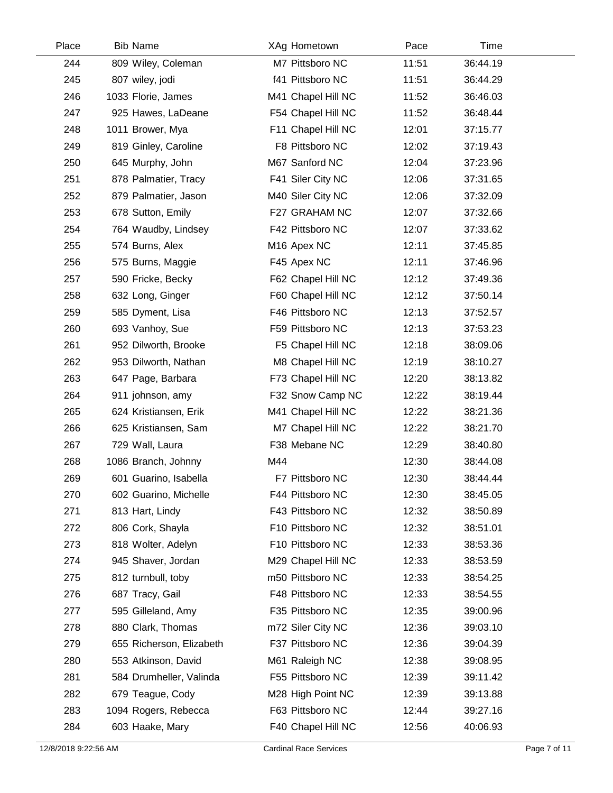| Place | <b>Bib Name</b>          | XAg Hometown            | Pace  | Time     |  |
|-------|--------------------------|-------------------------|-------|----------|--|
| 244   | 809 Wiley, Coleman       | M7 Pittsboro NC         | 11:51 | 36:44.19 |  |
| 245   | 807 wiley, jodi          | f41 Pittsboro NC        | 11:51 | 36:44.29 |  |
| 246   | 1033 Florie, James       | M41 Chapel Hill NC      | 11:52 | 36:46.03 |  |
| 247   | 925 Hawes, LaDeane       | F54 Chapel Hill NC      | 11:52 | 36:48.44 |  |
| 248   | 1011 Brower, Mya         | F11 Chapel Hill NC      | 12:01 | 37:15.77 |  |
| 249   | 819 Ginley, Caroline     | F8 Pittsboro NC         | 12:02 | 37:19.43 |  |
| 250   | 645 Murphy, John         | M67 Sanford NC          | 12:04 | 37:23.96 |  |
| 251   | 878 Palmatier, Tracy     | F41 Siler City NC       | 12:06 | 37:31.65 |  |
| 252   | 879 Palmatier, Jason     | M40 Siler City NC       | 12:06 | 37:32.09 |  |
| 253   | 678 Sutton, Emily        | F27 GRAHAM NC           | 12:07 | 37:32.66 |  |
| 254   | 764 Waudby, Lindsey      | F42 Pittsboro NC        | 12:07 | 37:33.62 |  |
| 255   | 574 Burns, Alex          | M <sub>16</sub> Apex NC | 12:11 | 37:45.85 |  |
| 256   | 575 Burns, Maggie        | F45 Apex NC             | 12:11 | 37:46.96 |  |
| 257   | 590 Fricke, Becky        | F62 Chapel Hill NC      | 12:12 | 37:49.36 |  |
| 258   | 632 Long, Ginger         | F60 Chapel Hill NC      | 12:12 | 37:50.14 |  |
| 259   | 585 Dyment, Lisa         | F46 Pittsboro NC        | 12:13 | 37:52.57 |  |
| 260   | 693 Vanhoy, Sue          | F59 Pittsboro NC        | 12:13 | 37:53.23 |  |
| 261   | 952 Dilworth, Brooke     | F5 Chapel Hill NC       | 12:18 | 38:09.06 |  |
| 262   | 953 Dilworth, Nathan     | M8 Chapel Hill NC       | 12:19 | 38:10.27 |  |
| 263   | 647 Page, Barbara        | F73 Chapel Hill NC      | 12:20 | 38:13.82 |  |
| 264   | 911 johnson, amy         | F32 Snow Camp NC        | 12:22 | 38:19.44 |  |
| 265   | 624 Kristiansen, Erik    | M41 Chapel Hill NC      | 12:22 | 38:21.36 |  |
| 266   | 625 Kristiansen, Sam     | M7 Chapel Hill NC       | 12:22 | 38:21.70 |  |
| 267   | 729 Wall, Laura          | F38 Mebane NC           | 12:29 | 38:40.80 |  |
| 268   | 1086 Branch, Johnny      | M44                     | 12:30 | 38:44.08 |  |
| 269   | 601 Guarino, Isabella    | F7 Pittsboro NC         | 12:30 | 38:44.44 |  |
| 270   | 602 Guarino, Michelle    | F44 Pittsboro NC        | 12:30 | 38:45.05 |  |
| 271   | 813 Hart, Lindy          | F43 Pittsboro NC        | 12:32 | 38:50.89 |  |
| 272   | 806 Cork, Shayla         | F10 Pittsboro NC        | 12:32 | 38:51.01 |  |
| 273   | 818 Wolter, Adelyn       | F10 Pittsboro NC        | 12:33 | 38:53.36 |  |
| 274   | 945 Shaver, Jordan       | M29 Chapel Hill NC      | 12:33 | 38:53.59 |  |
| 275   | 812 turnbull, toby       | m50 Pittsboro NC        | 12:33 | 38:54.25 |  |
| 276   | 687 Tracy, Gail          | F48 Pittsboro NC        | 12:33 | 38:54.55 |  |
| 277   | 595 Gilleland, Amy       | F35 Pittsboro NC        | 12:35 | 39:00.96 |  |
| 278   | 880 Clark, Thomas        | m72 Siler City NC       | 12:36 | 39:03.10 |  |
| 279   | 655 Richerson, Elizabeth | F37 Pittsboro NC        | 12:36 | 39:04.39 |  |
| 280   | 553 Atkinson, David      | M61 Raleigh NC          | 12:38 | 39:08.95 |  |
| 281   | 584 Drumheller, Valinda  | F55 Pittsboro NC        | 12:39 | 39:11.42 |  |
| 282   | 679 Teague, Cody         | M28 High Point NC       | 12:39 | 39:13.88 |  |
| 283   | 1094 Rogers, Rebecca     | F63 Pittsboro NC        | 12:44 | 39:27.16 |  |
| 284   | 603 Haake, Mary          | F40 Chapel Hill NC      | 12:56 | 40:06.93 |  |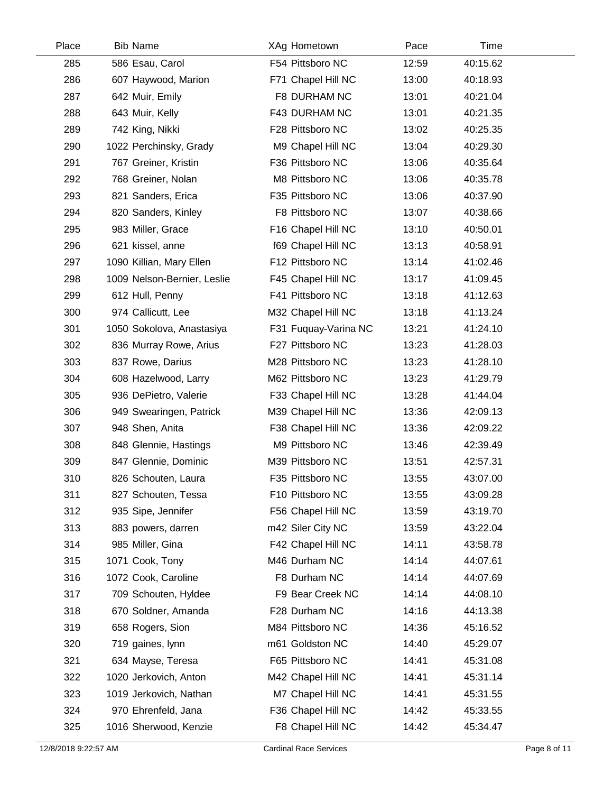| Place | <b>Bib Name</b>             | XAg Hometown         | Pace  | Time     |  |
|-------|-----------------------------|----------------------|-------|----------|--|
| 285   | 586 Esau, Carol             | F54 Pittsboro NC     | 12:59 | 40:15.62 |  |
| 286   | 607 Haywood, Marion         | F71 Chapel Hill NC   | 13:00 | 40:18.93 |  |
| 287   | 642 Muir, Emily             | F8 DURHAM NC         | 13:01 | 40:21.04 |  |
| 288   | 643 Muir, Kelly             | F43 DURHAM NC        | 13:01 | 40:21.35 |  |
| 289   | 742 King, Nikki             | F28 Pittsboro NC     | 13:02 | 40:25.35 |  |
| 290   | 1022 Perchinsky, Grady      | M9 Chapel Hill NC    | 13:04 | 40:29.30 |  |
| 291   | 767 Greiner, Kristin        | F36 Pittsboro NC     | 13:06 | 40:35.64 |  |
| 292   | 768 Greiner, Nolan          | M8 Pittsboro NC      | 13:06 | 40:35.78 |  |
| 293   | 821 Sanders, Erica          | F35 Pittsboro NC     | 13:06 | 40:37.90 |  |
| 294   | 820 Sanders, Kinley         | F8 Pittsboro NC      | 13:07 | 40:38.66 |  |
| 295   | 983 Miller, Grace           | F16 Chapel Hill NC   | 13:10 | 40:50.01 |  |
| 296   | 621 kissel, anne            | f69 Chapel Hill NC   | 13:13 | 40:58.91 |  |
| 297   | 1090 Killian, Mary Ellen    | F12 Pittsboro NC     | 13:14 | 41:02.46 |  |
| 298   | 1009 Nelson-Bernier, Leslie | F45 Chapel Hill NC   | 13:17 | 41:09.45 |  |
| 299   | 612 Hull, Penny             | F41 Pittsboro NC     | 13:18 | 41:12.63 |  |
| 300   | 974 Callicutt, Lee          | M32 Chapel Hill NC   | 13:18 | 41:13.24 |  |
| 301   | 1050 Sokolova, Anastasiya   | F31 Fuquay-Varina NC | 13:21 | 41:24.10 |  |
| 302   | 836 Murray Rowe, Arius      | F27 Pittsboro NC     | 13:23 | 41:28.03 |  |
| 303   | 837 Rowe, Darius            | M28 Pittsboro NC     | 13:23 | 41:28.10 |  |
| 304   | 608 Hazelwood, Larry        | M62 Pittsboro NC     | 13:23 | 41:29.79 |  |
| 305   | 936 DePietro, Valerie       | F33 Chapel Hill NC   | 13:28 | 41:44.04 |  |
| 306   | 949 Swearingen, Patrick     | M39 Chapel Hill NC   | 13:36 | 42:09.13 |  |
| 307   | 948 Shen, Anita             | F38 Chapel Hill NC   | 13:36 | 42:09.22 |  |
| 308   | 848 Glennie, Hastings       | M9 Pittsboro NC      | 13:46 | 42:39.49 |  |
| 309   | 847 Glennie, Dominic        | M39 Pittsboro NC     | 13:51 | 42:57.31 |  |
| 310   | 826 Schouten, Laura         | F35 Pittsboro NC     | 13:55 | 43:07.00 |  |
| 311   | 827 Schouten, Tessa         | F10 Pittsboro NC     | 13:55 | 43:09.28 |  |
| 312   | 935 Sipe, Jennifer          | F56 Chapel Hill NC   | 13:59 | 43:19.70 |  |
| 313   | 883 powers, darren          | m42 Siler City NC    | 13:59 | 43:22.04 |  |
| 314   | 985 Miller, Gina            | F42 Chapel Hill NC   | 14:11 | 43:58.78 |  |
| 315   | 1071 Cook, Tony             | M46 Durham NC        | 14:14 | 44:07.61 |  |
| 316   | 1072 Cook, Caroline         | F8 Durham NC         | 14:14 | 44:07.69 |  |
| 317   | 709 Schouten, Hyldee        | F9 Bear Creek NC     | 14:14 | 44:08.10 |  |
| 318   | 670 Soldner, Amanda         | F28 Durham NC        | 14:16 | 44:13.38 |  |
| 319   | 658 Rogers, Sion            | M84 Pittsboro NC     | 14:36 | 45:16.52 |  |
| 320   | 719 gaines, lynn            | m61 Goldston NC      | 14:40 | 45:29.07 |  |
| 321   | 634 Mayse, Teresa           | F65 Pittsboro NC     | 14:41 | 45:31.08 |  |
| 322   | 1020 Jerkovich, Anton       | M42 Chapel Hill NC   | 14:41 | 45:31.14 |  |
| 323   | 1019 Jerkovich, Nathan      | M7 Chapel Hill NC    | 14:41 | 45:31.55 |  |
| 324   | 970 Ehrenfeld, Jana         | F36 Chapel Hill NC   | 14:42 | 45:33.55 |  |
| 325   | 1016 Sherwood, Kenzie       | F8 Chapel Hill NC    | 14:42 | 45:34.47 |  |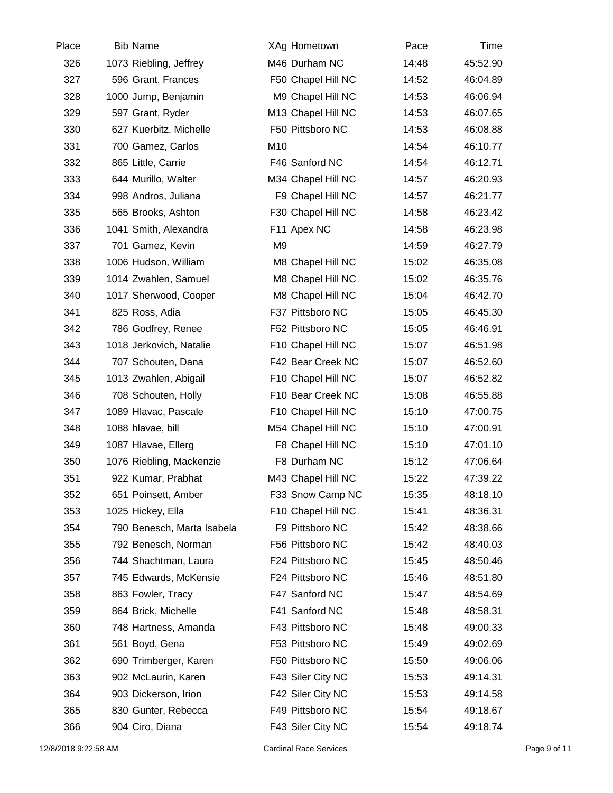| Place | <b>Bib Name</b>            | XAg Hometown       | Pace  | Time     |  |
|-------|----------------------------|--------------------|-------|----------|--|
| 326   | 1073 Riebling, Jeffrey     | M46 Durham NC      | 14:48 | 45:52.90 |  |
| 327   | 596 Grant, Frances         | F50 Chapel Hill NC | 14:52 | 46:04.89 |  |
| 328   | 1000 Jump, Benjamin        | M9 Chapel Hill NC  | 14:53 | 46:06.94 |  |
| 329   | 597 Grant, Ryder           | M13 Chapel Hill NC | 14:53 | 46:07.65 |  |
| 330   | 627 Kuerbitz, Michelle     | F50 Pittsboro NC   | 14:53 | 46:08.88 |  |
| 331   | 700 Gamez, Carlos          | M10                | 14:54 | 46:10.77 |  |
| 332   | 865 Little, Carrie         | F46 Sanford NC     | 14:54 | 46:12.71 |  |
| 333   | 644 Murillo, Walter        | M34 Chapel Hill NC | 14:57 | 46:20.93 |  |
| 334   | 998 Andros, Juliana        | F9 Chapel Hill NC  | 14:57 | 46:21.77 |  |
| 335   | 565 Brooks, Ashton         | F30 Chapel Hill NC | 14:58 | 46:23.42 |  |
| 336   | 1041 Smith, Alexandra      | F11 Apex NC        | 14:58 | 46:23.98 |  |
| 337   | 701 Gamez, Kevin           | M <sub>9</sub>     | 14:59 | 46:27.79 |  |
| 338   | 1006 Hudson, William       | M8 Chapel Hill NC  | 15:02 | 46:35.08 |  |
| 339   | 1014 Zwahlen, Samuel       | M8 Chapel Hill NC  | 15:02 | 46:35.76 |  |
| 340   | 1017 Sherwood, Cooper      | M8 Chapel Hill NC  | 15:04 | 46:42.70 |  |
| 341   | 825 Ross, Adia             | F37 Pittsboro NC   | 15:05 | 46:45.30 |  |
| 342   | 786 Godfrey, Renee         | F52 Pittsboro NC   | 15:05 | 46:46.91 |  |
| 343   | 1018 Jerkovich, Natalie    | F10 Chapel Hill NC | 15:07 | 46:51.98 |  |
| 344   | 707 Schouten, Dana         | F42 Bear Creek NC  | 15:07 | 46:52.60 |  |
| 345   | 1013 Zwahlen, Abigail      | F10 Chapel Hill NC | 15:07 | 46:52.82 |  |
| 346   | 708 Schouten, Holly        | F10 Bear Creek NC  | 15:08 | 46:55.88 |  |
| 347   | 1089 Hlavac, Pascale       | F10 Chapel Hill NC | 15:10 | 47:00.75 |  |
| 348   | 1088 hlavae, bill          | M54 Chapel Hill NC | 15:10 | 47:00.91 |  |
| 349   | 1087 Hlavae, Ellerg        | F8 Chapel Hill NC  | 15:10 | 47:01.10 |  |
| 350   | 1076 Riebling, Mackenzie   | F8 Durham NC       | 15:12 | 47:06.64 |  |
| 351   | 922 Kumar, Prabhat         | M43 Chapel Hill NC | 15:22 | 47:39.22 |  |
| 352   | 651 Poinsett, Amber        | F33 Snow Camp NC   | 15:35 | 48:18.10 |  |
| 353   | 1025 Hickey, Ella          | F10 Chapel Hill NC | 15:41 | 48:36.31 |  |
| 354   | 790 Benesch, Marta Isabela | F9 Pittsboro NC    | 15:42 | 48:38.66 |  |
| 355   | 792 Benesch, Norman        | F56 Pittsboro NC   | 15:42 | 48:40.03 |  |
| 356   | 744 Shachtman, Laura       | F24 Pittsboro NC   | 15:45 | 48:50.46 |  |
| 357   | 745 Edwards, McKensie      | F24 Pittsboro NC   | 15:46 | 48:51.80 |  |
| 358   | 863 Fowler, Tracy          | F47 Sanford NC     | 15:47 | 48:54.69 |  |
| 359   | 864 Brick, Michelle        | F41 Sanford NC     | 15:48 | 48:58.31 |  |
| 360   | 748 Hartness, Amanda       | F43 Pittsboro NC   | 15:48 | 49:00.33 |  |
| 361   | 561 Boyd, Gena             | F53 Pittsboro NC   | 15:49 | 49:02.69 |  |
| 362   | 690 Trimberger, Karen      | F50 Pittsboro NC   | 15:50 | 49:06.06 |  |
| 363   | 902 McLaurin, Karen        | F43 Siler City NC  | 15:53 | 49:14.31 |  |
| 364   | 903 Dickerson, Irion       | F42 Siler City NC  | 15:53 | 49:14.58 |  |
| 365   | 830 Gunter, Rebecca        | F49 Pittsboro NC   | 15:54 | 49:18.67 |  |
| 366   | 904 Ciro, Diana            | F43 Siler City NC  | 15:54 | 49:18.74 |  |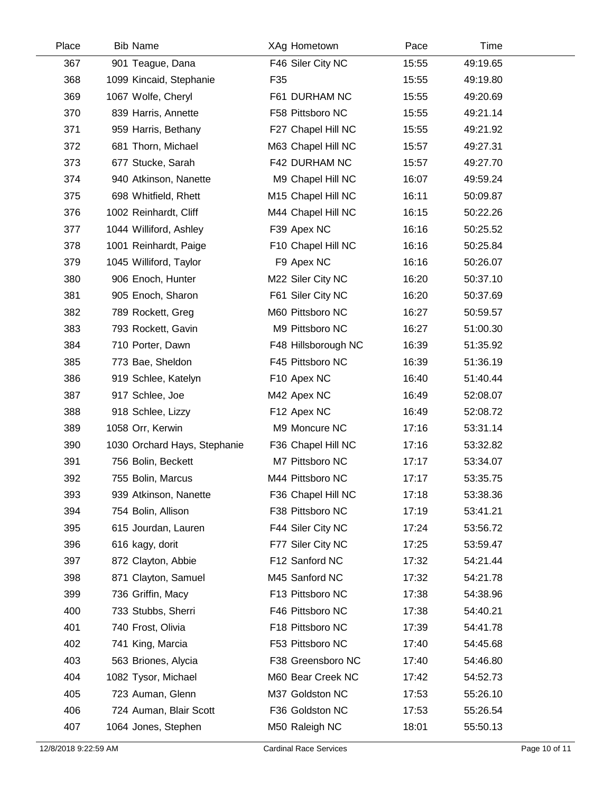| Place | <b>Bib Name</b>              | XAg Hometown        | Pace  | Time     |  |
|-------|------------------------------|---------------------|-------|----------|--|
| 367   | 901 Teague, Dana             | F46 Siler City NC   | 15:55 | 49:19.65 |  |
| 368   | 1099 Kincaid, Stephanie      | F35                 | 15:55 | 49:19.80 |  |
| 369   | 1067 Wolfe, Cheryl           | F61 DURHAM NC       | 15:55 | 49:20.69 |  |
| 370   | 839 Harris, Annette          | F58 Pittsboro NC    | 15:55 | 49:21.14 |  |
| 371   | 959 Harris, Bethany          | F27 Chapel Hill NC  | 15:55 | 49:21.92 |  |
| 372   | 681 Thorn, Michael           | M63 Chapel Hill NC  | 15:57 | 49:27.31 |  |
| 373   | 677 Stucke, Sarah            | F42 DURHAM NC       | 15:57 | 49:27.70 |  |
| 374   | 940 Atkinson, Nanette        | M9 Chapel Hill NC   | 16:07 | 49:59.24 |  |
| 375   | 698 Whitfield, Rhett         | M15 Chapel Hill NC  | 16:11 | 50:09.87 |  |
| 376   | 1002 Reinhardt, Cliff        | M44 Chapel Hill NC  | 16:15 | 50:22.26 |  |
| 377   | 1044 Williford, Ashley       | F39 Apex NC         | 16:16 | 50:25.52 |  |
| 378   | 1001 Reinhardt, Paige        | F10 Chapel Hill NC  | 16:16 | 50:25.84 |  |
| 379   | 1045 Williford, Taylor       | F9 Apex NC          | 16:16 | 50:26.07 |  |
| 380   | 906 Enoch, Hunter            | M22 Siler City NC   | 16:20 | 50:37.10 |  |
| 381   | 905 Enoch, Sharon            | F61 Siler City NC   | 16:20 | 50:37.69 |  |
| 382   | 789 Rockett, Greg            | M60 Pittsboro NC    | 16:27 | 50:59.57 |  |
| 383   | 793 Rockett, Gavin           | M9 Pittsboro NC     | 16:27 | 51:00.30 |  |
| 384   | 710 Porter, Dawn             | F48 Hillsborough NC | 16:39 | 51:35.92 |  |
| 385   | 773 Bae, Sheldon             | F45 Pittsboro NC    | 16:39 | 51:36.19 |  |
| 386   | 919 Schlee, Katelyn          | F10 Apex NC         | 16:40 | 51:40.44 |  |
| 387   | 917 Schlee, Joe              | M42 Apex NC         | 16:49 | 52:08.07 |  |
| 388   | 918 Schlee, Lizzy            | F12 Apex NC         | 16:49 | 52:08.72 |  |
| 389   | 1058 Orr, Kerwin             | M9 Moncure NC       | 17:16 | 53:31.14 |  |
| 390   | 1030 Orchard Hays, Stephanie | F36 Chapel Hill NC  | 17:16 | 53:32.82 |  |
| 391   | 756 Bolin, Beckett           | M7 Pittsboro NC     | 17:17 | 53:34.07 |  |
| 392   | 755 Bolin, Marcus            | M44 Pittsboro NC    | 17:17 | 53:35.75 |  |
| 393   | 939 Atkinson, Nanette        | F36 Chapel Hill NC  | 17:18 | 53:38.36 |  |
| 394   | 754 Bolin, Allison           | F38 Pittsboro NC    | 17:19 | 53:41.21 |  |
| 395   | 615 Jourdan, Lauren          | F44 Siler City NC   | 17:24 | 53:56.72 |  |
| 396   | 616 kagy, dorit              | F77 Siler City NC   | 17:25 | 53:59.47 |  |
| 397   | 872 Clayton, Abbie           | F12 Sanford NC      | 17:32 | 54:21.44 |  |
| 398   | 871 Clayton, Samuel          | M45 Sanford NC      | 17:32 | 54:21.78 |  |
| 399   | 736 Griffin, Macy            | F13 Pittsboro NC    | 17:38 | 54:38.96 |  |
| 400   | 733 Stubbs, Sherri           | F46 Pittsboro NC    | 17:38 | 54:40.21 |  |
| 401   | 740 Frost, Olivia            | F18 Pittsboro NC    | 17:39 | 54:41.78 |  |
| 402   | 741 King, Marcia             | F53 Pittsboro NC    | 17:40 | 54:45.68 |  |
| 403   | 563 Briones, Alycia          | F38 Greensboro NC   | 17:40 | 54:46.80 |  |
| 404   | 1082 Tysor, Michael          | M60 Bear Creek NC   | 17:42 | 54:52.73 |  |
| 405   | 723 Auman, Glenn             | M37 Goldston NC     | 17:53 | 55:26.10 |  |
| 406   | 724 Auman, Blair Scott       | F36 Goldston NC     | 17:53 | 55:26.54 |  |
| 407   | 1064 Jones, Stephen          | M50 Raleigh NC      | 18:01 | 55:50.13 |  |
|       |                              |                     |       |          |  |